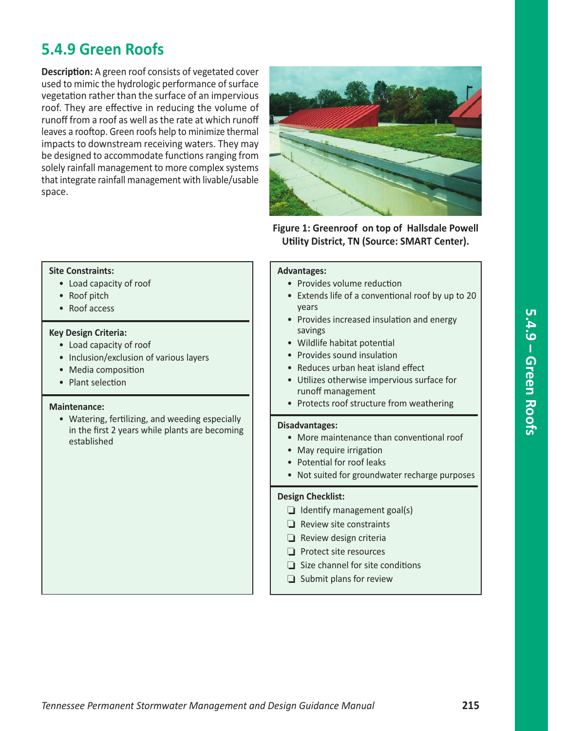# **5.4.9 Green Roofs**

**Description:** A green roof consists of vegetated cover used to mimic the hydrologic performance of surface vegetation rather than the surface of an impervious roof. They are effective in reducing the volume of runoff from a roof as well as the rate at which runoff leaves a rooftop. Green roofs help to minimize thermal impacts to downstream receiving waters. They may be designed to accommodate functions ranging from solely rainfall management to more complex systems that integrate rainfall management with livable/usable space.



**Figure 1: Greenroof on top of Hallsdale Powell Utility District, TN (Source: SMART Center).**

#### **Site Constraints:**

- Load capacity of roof
- Roof pitch
- Roof access

#### **Key Design Criteria:**

- Load capacity of roof
- Inclusion/exclusion of various layers
- Media composition
- Plant selection

#### **Maintenance:**

• Watering, fertilizing, and weeding especially in the first 2 years while plants are becoming established

#### **Advantages:**

- Provides volume reduction
- Extends life of a conventional roof by up to 20 years
- Provides increased insulation and energy savings
- Wildlife habitat potential
- Provides sound insulation
- Reduces urban heat island effect
- Utilizes otherwise impervious surface for runoff management
- Protects roof structure from weathering

#### **Disadvantages:**

- More maintenance than conventional roof
- May require irrigation
- Potential for roof leaks
- Not suited for groundwater recharge purposes

#### **Design Checklist:**

- $\Box$  Identify management goal(s)
- $\Box$  Review site constraints
- $\Box$  Review design criteria
- $\Box$  Protect site resources
- $\Box$  Size channel for site conditions
- $\Box$  Submit plans for review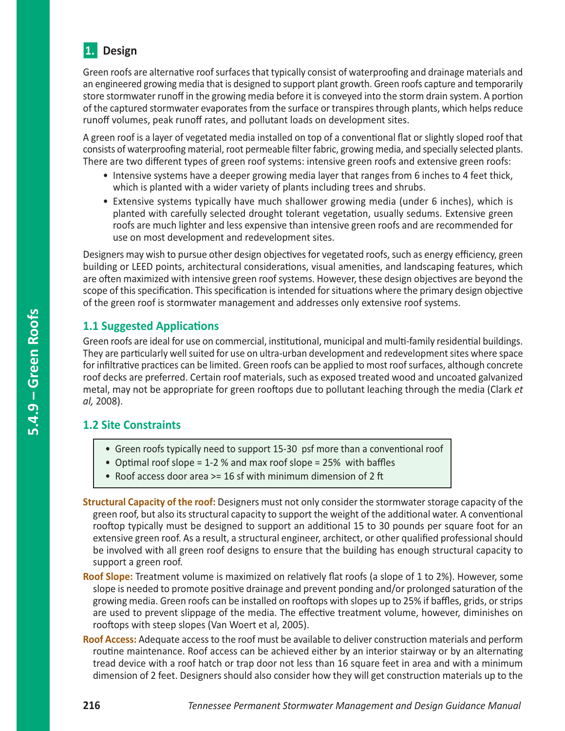

Green roofs are alternative roof surfaces that typically consist of waterproofing and drainage materials and an engineered growing media that is designed to support plant growth. Green roofs capture and temporarily store stormwater runoff in the growing media before it is conveyed into the storm drain system. A portion of the captured stormwater evaporates from the surface or transpires through plants, which helps reduce runoff volumes, peak runoff rates, and pollutant loads on development sites.

A green roof is a layer of vegetated media installed on top of a conventional flat or slightly sloped roof that consists of waterproofing material, root permeable filter fabric, growing media, and specially selected plants. There are two different types of green roof systems: intensive green roofs and extensive green roofs:

- Intensive systems have a deeper growing media layer that ranges from 6 inches to 4 feet thick, which is planted with a wider variety of plants including trees and shrubs.
- Extensive systems typically have much shallower growing media (under 6 inches), which is planted with carefully selected drought tolerant vegetation, usually sedums. Extensive green roofs are much lighter and less expensive than intensive green roofs and are recommended for use on most development and redevelopment sites.

Designers may wish to pursue other design objectives for vegetated roofs, such as energy efficiency, green building or LEED points, architectural considerations, visual amenities, and landscaping features, which are often maximized with intensive green roof systems. However, these design objectives are beyond the scope of this specification. This specification is intended for situations where the primary design objective of the green roof is stormwater management and addresses only extensive roof systems.

## **1.1 Suggested Applications**

Green roofs are ideal for use on commercial, institutional, municipal and multi-family residential buildings. They are particularly well suited for use on ultra-urban development and redevelopment sites where space for infiltrative practices can be limited. Green roofs can be applied to most roof surfaces, although concrete roof decks are preferred. Certain roof materials, such as exposed treated wood and uncoated galvanized metal, may not be appropriate for green rooftops due to pollutant leaching through the media (Clark *et al,* 2008).

# **1.2 Site Constraints**

- Green roofs typically need to support 15-30 psf more than a conventional roof
- Optimal roof slope = 1-2 % and max roof slope = 25% with baffles
- Roof access door area >= 16 sf with minimum dimension of 2 ft
- **Structural Capacity of the roof:** Designers must not only consider the stormwater storage capacity of the green roof, but also its structural capacity to support the weight of the additional water. A conventional rooftop typically must be designed to support an additional 15 to 30 pounds per square foot for an extensive green roof. As a result, a structural engineer, architect, or other qualified professional should be involved with all green roof designs to ensure that the building has enough structural capacity to support a green roof.
- **Roof Slope:** Treatment volume is maximized on relatively flat roofs (a slope of 1 to 2%). However, some slope is needed to promote positive drainage and prevent ponding and/or prolonged saturation of the growing media. Green roofs can be installed on rooftops with slopes up to 25% if baffles, grids, or strips are used to prevent slippage of the media. The effective treatment volume, however, diminishes on rooftops with steep slopes (Van Woert et al, 2005).
- **Roof Access:** Adequate access to the roof must be available to deliver construction materials and perform routine maintenance. Roof access can be achieved either by an interior stairway or by an alternating tread device with a roof hatch or trap door not less than 16 square feet in area and with a minimum dimension of 2 feet. Designers should also consider how they will get construction materials up to the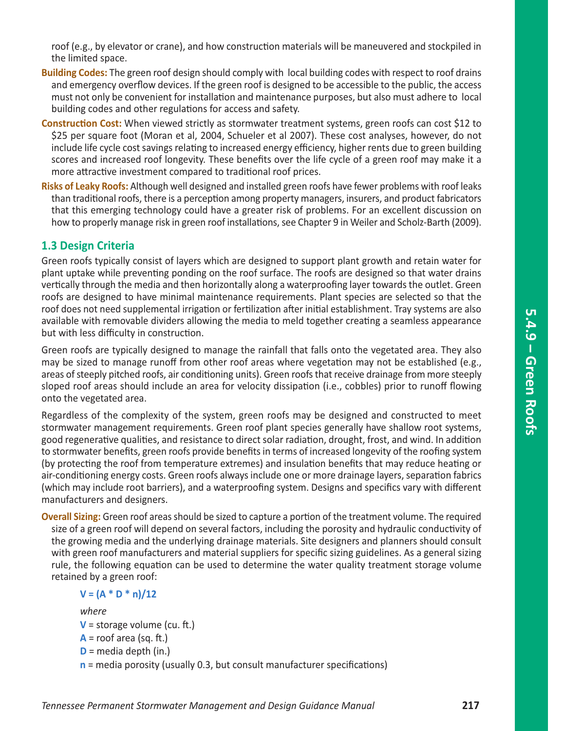roof (e.g., by elevator or crane), and how construction materials will be maneuvered and stockpiled in the limited space.

- **Building Codes:** The green roof design should comply with local building codes with respect to roof drains and emergency overflow devices. If the green roof is designed to be accessible to the public, the access must not only be convenient for installation and maintenance purposes, but also must adhere to local building codes and other regulations for access and safety.
- **Construction Cost:** When viewed strictly as stormwater treatment systems, green roofs can cost \$12 to \$25 per square foot (Moran et al, 2004, Schueler et al 2007). These cost analyses, however, do not include life cycle cost savings relating to increased energy efficiency, higher rents due to green building scores and increased roof longevity. These benefits over the life cycle of a green roof may make it a more attractive investment compared to traditional roof prices.
- **Risks of Leaky Roofs:** Although well designed and installed green roofs have fewer problems with roof leaks than traditional roofs, there is a perception among property managers, insurers, and product fabricators that this emerging technology could have a greater risk of problems. For an excellent discussion on how to properly manage risk in green roof installations, see Chapter 9 in Weiler and Scholz-Barth (2009).

### **1.3 Design Criteria**

Green roofs typically consist of layers which are designed to support plant growth and retain water for plant uptake while preventing ponding on the roof surface. The roofs are designed so that water drains vertically through the media and then horizontally along a waterproofing layer towards the outlet. Green roofs are designed to have minimal maintenance requirements. Plant species are selected so that the roof does not need supplemental irrigation or fertilization after initial establishment. Tray systems are also available with removable dividers allowing the media to meld together creating a seamless appearance but with less difficulty in construction.

Green roofs are typically designed to manage the rainfall that falls onto the vegetated area. They also may be sized to manage runoff from other roof areas where vegetation may not be established (e.g., areas of steeply pitched roofs, air conditioning units). Green roofs that receive drainage from more steeply sloped roof areas should include an area for velocity dissipation (i.e., cobbles) prior to runoff flowing onto the vegetated area.

Regardless of the complexity of the system, green roofs may be designed and constructed to meet stormwater management requirements. Green roof plant species generally have shallow root systems, good regenerative qualities, and resistance to direct solar radiation, drought, frost, and wind. In addition to stormwater benefits, green roofs provide benefits in terms of increased longevity of the roofing system (by protecting the roof from temperature extremes) and insulation benefits that may reduce heating or air-conditioning energy costs. Green roofs always include one or more drainage layers, separation fabrics (which may include root barriers), and a waterproofing system. Designs and specifics vary with different manufacturers and designers.

**Overall Sizing:** Green roof areas should be sized to capture a portion of the treatment volume. The required size of a green roof will depend on several factors, including the porosity and hydraulic conductivity of the growing media and the underlying drainage materials. Site designers and planners should consult with green roof manufacturers and material suppliers for specific sizing guidelines. As a general sizing rule, the following equation can be used to determine the water quality treatment storage volume retained by a green roof:

### $V = (A * D * n)/12$

*where*

- **V** = storage volume (cu. ft.)
- $A =$  roof area (sq. ft.)
- **D** = media depth (in.)
- **n** = media porosity (usually 0.3, but consult manufacturer specifications)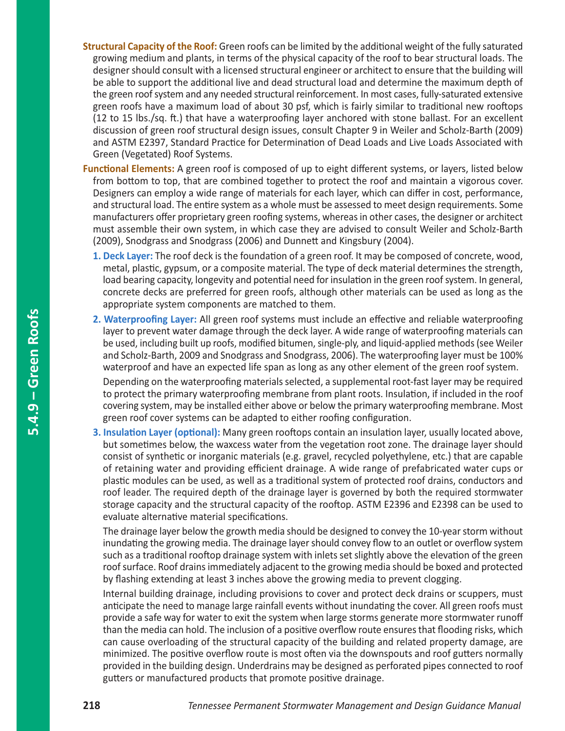- **Structural Capacity of the Roof:** Green roofs can be limited by the additional weight of the fully saturated growing medium and plants, in terms of the physical capacity of the roof to bear structural loads. The designer should consult with a licensed structural engineer or architect to ensure that the building will be able to support the additional live and dead structural load and determine the maximum depth of the green roof system and any needed structural reinforcement. In most cases, fully-saturated extensive green roofs have a maximum load of about 30 psf, which is fairly similar to traditional new rooftops (12 to 15 lbs./sq. ft.) that have a waterproofing layer anchored with stone ballast. For an excellent discussion of green roof structural design issues, consult Chapter 9 in Weiler and Scholz-Barth (2009) and ASTM E2397, Standard Practice for Determination of Dead Loads and Live Loads Associated with Green (Vegetated) Roof Systems.
- **Functional Elements:** A green roof is composed of up to eight different systems, or layers, listed below from bottom to top, that are combined together to protect the roof and maintain a vigorous cover. Designers can employ a wide range of materials for each layer, which can differ in cost, performance, and structural load. The entire system as a whole must be assessed to meet design requirements. Some manufacturers offer proprietary green roofing systems, whereas in other cases, the designer or architect must assemble their own system, in which case they are advised to consult Weiler and Scholz-Barth (2009), Snodgrass and Snodgrass (2006) and Dunnett and Kingsbury (2004).
	- **1. Deck Layer:** The roof deck is the foundation of a green roof. It may be composed of concrete, wood, metal, plastic, gypsum, or a composite material. The type of deck material determines the strength, load bearing capacity, longevity and potential need for insulation in the green roof system. In general, concrete decks are preferred for green roofs, although other materials can be used as long as the appropriate system components are matched to them.
	- **2. Waterproofing Layer:** All green roof systems must include an effective and reliable waterproofing layer to prevent water damage through the deck layer. A wide range of waterproofing materials can be used, including built up roofs, modified bitumen, single-ply, and liquid-applied methods (see Weiler and Scholz-Barth, 2009 and Snodgrass and Snodgrass, 2006). The waterproofing layer must be 100% waterproof and have an expected life span as long as any other element of the green roof system.

Depending on the waterproofing materials selected, a supplemental root-fast layer may be required to protect the primary waterproofing membrane from plant roots. Insulation, if included in the roof covering system, may be installed either above or below the primary waterproofing membrane. Most green roof cover systems can be adapted to either roofing configuration.

**3. Insulation Layer (optional):** Many green rooftops contain an insulation layer, usually located above, but sometimes below, the waxcess water from the vegetation root zone. The drainage layer should consist of synthetic or inorganic materials (e.g. gravel, recycled polyethylene, etc.) that are capable of retaining water and providing efficient drainage. A wide range of prefabricated water cups or plastic modules can be used, as well as a traditional system of protected roof drains, conductors and roof leader. The required depth of the drainage layer is governed by both the required stormwater storage capacity and the structural capacity of the rooftop. ASTM E2396 and E2398 can be used to evaluate alternative material specifications.

The drainage layer below the growth media should be designed to convey the 10-year storm without inundating the growing media. The drainage layer should convey flow to an outlet or overflow system such as a traditional rooftop drainage system with inlets set slightly above the elevation of the green roof surface. Roof drains immediately adjacent to the growing media should be boxed and protected by flashing extending at least 3 inches above the growing media to prevent clogging.

Internal building drainage, including provisions to cover and protect deck drains or scuppers, must anticipate the need to manage large rainfall events without inundating the cover. All green roofs must provide a safe way for water to exit the system when large storms generate more stormwater runoff than the media can hold. The inclusion of a positive overflow route ensures that flooding risks, which can cause overloading of the structural capacity of the building and related property damage, are minimized. The positive overflow route is most often via the downspouts and roof gutters normally provided in the building design. Underdrains may be designed as perforated pipes connected to roof gutters or manufactured products that promote positive drainage.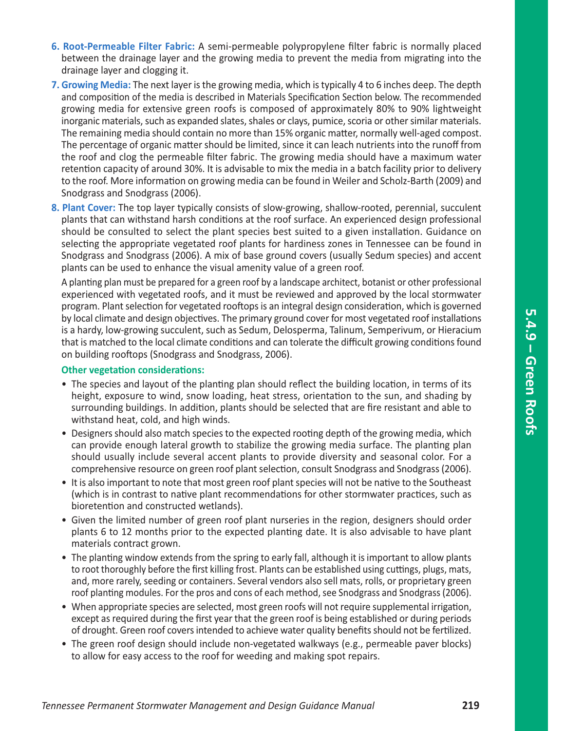- **6. Root-Permeable Filter Fabric:** A semi-permeable polypropylene filter fabric is normally placed between the drainage layer and the growing media to prevent the media from migrating into the drainage layer and clogging it.
- **7. Growing Media:** The next layer is the growing media, which is typically 4 to 6 inches deep. The depth and composition of the media is described in Materials Specification Section below. The recommended growing media for extensive green roofs is composed of approximately 80% to 90% lightweight inorganic materials, such as expanded slates, shales or clays, pumice, scoria or other similar materials. The remaining media should contain no more than 15% organic matter, normally well-aged compost. The percentage of organic matter should be limited, since it can leach nutrients into the runoff from the roof and clog the permeable filter fabric. The growing media should have a maximum water retention capacity of around 30%. It is advisable to mix the media in a batch facility prior to delivery to the roof. More information on growing media can be found in Weiler and Scholz-Barth (2009) and Snodgrass and Snodgrass (2006).
- **8. Plant Cover:** The top layer typically consists of slow-growing, shallow-rooted, perennial, succulent plants that can withstand harsh conditions at the roof surface. An experienced design professional should be consulted to select the plant species best suited to a given installation. Guidance on selecting the appropriate vegetated roof plants for hardiness zones in Tennessee can be found in Snodgrass and Snodgrass (2006). A mix of base ground covers (usually Sedum species) and accent plants can be used to enhance the visual amenity value of a green roof.

A planting plan must be prepared for a green roof by a landscape architect, botanist or other professional experienced with vegetated roofs, and it must be reviewed and approved by the local stormwater program. Plant selection for vegetated rooftops is an integral design consideration, which is governed by local climate and design objectives. The primary ground cover for most vegetated roof installations is a hardy, low-growing succulent, such as Sedum, Delosperma, Talinum, Semperivum, or Hieracium that is matched to the local climate conditions and can tolerate the difficult growing conditions found on building rooftops (Snodgrass and Snodgrass, 2006).

#### **Other vegetation considerations:**

- The species and layout of the planting plan should reflect the building location, in terms of its height, exposure to wind, snow loading, heat stress, orientation to the sun, and shading by surrounding buildings. In addition, plants should be selected that are fire resistant and able to withstand heat, cold, and high winds.
- Designers should also match species to the expected rooting depth of the growing media, which can provide enough lateral growth to stabilize the growing media surface. The planting plan should usually include several accent plants to provide diversity and seasonal color. For a comprehensive resource on green roof plant selection, consult Snodgrass and Snodgrass (2006).
- It is also important to note that most green roof plant species will not be native to the Southeast (which is in contrast to native plant recommendations for other stormwater practices, such as bioretention and constructed wetlands).
- Given the limited number of green roof plant nurseries in the region, designers should order plants 6 to 12 months prior to the expected planting date. It is also advisable to have plant materials contract grown.
- The planting window extends from the spring to early fall, although it is important to allow plants to root thoroughly before the first killing frost. Plants can be established using cuttings, plugs, mats, and, more rarely, seeding or containers. Several vendors also sell mats, rolls, or proprietary green roof planting modules. For the pros and cons of each method, see Snodgrass and Snodgrass (2006).
- When appropriate species are selected, most green roofs will not require supplemental irrigation, except as required during the first year that the green roof is being established or during periods of drought. Green roof covers intended to achieve water quality benefits should not be fertilized.
- The green roof design should include non-vegetated walkways (e.g., permeable paver blocks) to allow for easy access to the roof for weeding and making spot repairs.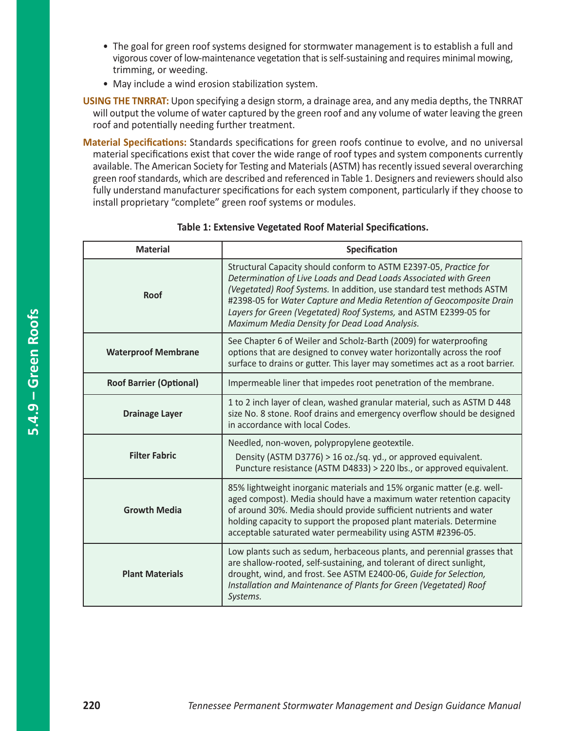- The goal for green roof systems designed for stormwater management is to establish a full and vigorous cover of low-maintenance vegetation that is self-sustaining and requires minimal mowing, trimming, or weeding.
- May include a wind erosion stabilization system.
- **USING THE TNRRAT:** Upon specifying a design storm, a drainage area, and any media depths, the TNRRAT will output the volume of water captured by the green roof and any volume of water leaving the green roof and potentially needing further treatment.

**Material Specifications:** Standards specifications for green roofs continue to evolve, and no universal material specifications exist that cover the wide range of roof types and system components currently available. The American Society for Testing and Materials (ASTM) has recently issued several overarching green roof standards, which are described and referenced in Table 1. Designers and reviewers should also fully understand manufacturer specifications for each system component, particularly if they choose to install proprietary "complete" green roof systems or modules.

| <b>Material</b>                | Specification                                                                                                                                                                                                                                                                                                                                                                                               |  |  |
|--------------------------------|-------------------------------------------------------------------------------------------------------------------------------------------------------------------------------------------------------------------------------------------------------------------------------------------------------------------------------------------------------------------------------------------------------------|--|--|
| Roof                           | Structural Capacity should conform to ASTM E2397-05, Practice for<br>Determination of Live Loads and Dead Loads Associated with Green<br>(Vegetated) Roof Systems. In addition, use standard test methods ASTM<br>#2398-05 for Water Capture and Media Retention of Geocomposite Drain<br>Layers for Green (Vegetated) Roof Systems, and ASTM E2399-05 for<br>Maximum Media Density for Dead Load Analysis. |  |  |
| <b>Waterproof Membrane</b>     | See Chapter 6 of Weiler and Scholz-Barth (2009) for waterproofing<br>options that are designed to convey water horizontally across the roof<br>surface to drains or gutter. This layer may sometimes act as a root barrier.                                                                                                                                                                                 |  |  |
| <b>Roof Barrier (Optional)</b> | Impermeable liner that impedes root penetration of the membrane.                                                                                                                                                                                                                                                                                                                                            |  |  |
| <b>Drainage Layer</b>          | 1 to 2 inch layer of clean, washed granular material, such as ASTM D 448<br>size No. 8 stone. Roof drains and emergency overflow should be designed<br>in accordance with local Codes.                                                                                                                                                                                                                      |  |  |
| <b>Filter Fabric</b>           | Needled, non-woven, polypropylene geotextile.<br>Density (ASTM D3776) > 16 oz./sq. yd., or approved equivalent.<br>Puncture resistance (ASTM D4833) > 220 lbs., or approved equivalent.                                                                                                                                                                                                                     |  |  |
| <b>Growth Media</b>            | 85% lightweight inorganic materials and 15% organic matter (e.g. well-<br>aged compost). Media should have a maximum water retention capacity<br>of around 30%. Media should provide sufficient nutrients and water<br>holding capacity to support the proposed plant materials. Determine<br>acceptable saturated water permeability using ASTM #2396-05.                                                  |  |  |
| <b>Plant Materials</b>         | Low plants such as sedum, herbaceous plants, and perennial grasses that<br>are shallow-rooted, self-sustaining, and tolerant of direct sunlight,<br>drought, wind, and frost. See ASTM E2400-06, Guide for Selection,<br>Installation and Maintenance of Plants for Green (Vegetated) Roof<br>Systems.                                                                                                      |  |  |

### **Table 1: Extensive Vegetated Roof Material Specifications.**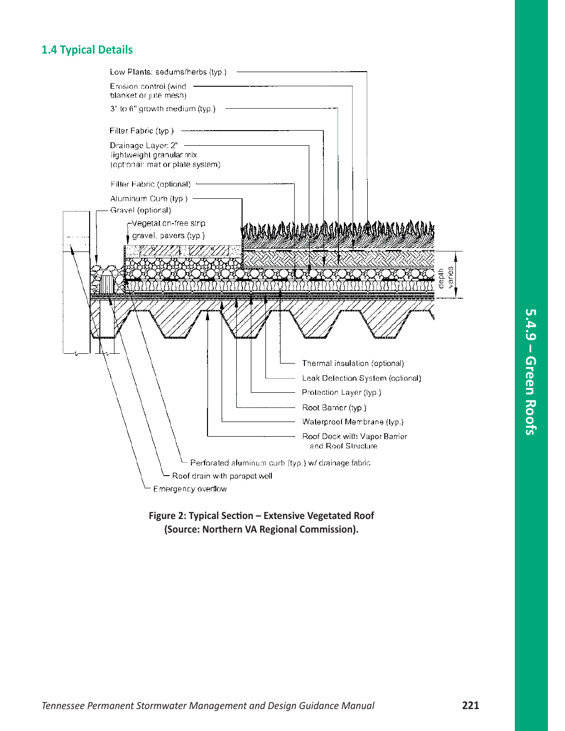# **1.4 Typical Details**

|                              | Low Plants: sedums/herbs (typ.)                                                   |  |                                                    |                    |
|------------------------------|-----------------------------------------------------------------------------------|--|----------------------------------------------------|--------------------|
|                              | Erosion control (wind<br>blanket or jute mesh)                                    |  |                                                    |                    |
|                              | 3" to 6" growth medium (typ.)                                                     |  |                                                    |                    |
|                              | Filter Fabric (typ.)                                                              |  |                                                    |                    |
|                              | Drainage Layer: 2"<br>lightweight granular mix<br>(optional: mat or plate system) |  |                                                    |                    |
|                              | Filter Fabric (optional) +                                                        |  |                                                    |                    |
|                              | Aluminum Curb (typ.) -<br>Gravel (optional)                                       |  |                                                    |                    |
|                              | -Vegetat on-free strip<br>gravel, pavers (typ.)                                   |  | <u>ADDADAMADADAMADA AMBADA</u>                     |                    |
|                              |                                                                                   |  |                                                    | aries<br>dept<br>C |
|                              |                                                                                   |  |                                                    |                    |
|                              |                                                                                   |  | Thermal insulation (optional)                      |                    |
|                              |                                                                                   |  | Leak Detection System (optional)                   |                    |
|                              |                                                                                   |  | Protection Layer (typ.)                            |                    |
|                              |                                                                                   |  | Root Barrier (typ.)                                |                    |
|                              |                                                                                   |  | Waterproof Membrane (typ.)                         |                    |
|                              |                                                                                   |  | Roof Deck with Vapor Barrier<br>and Roof Structure |                    |
|                              |                                                                                   |  | Perforated aluminum curb (typ.) w/ drainage fabric |                    |
| Roof drain with parapet well |                                                                                   |  |                                                    |                    |
|                              | Emergency overflow                                                                |  |                                                    |                    |
|                              |                                                                                   |  |                                                    |                    |

**Figure 2: Typical Section – Extensive Vegetated Roof (Source: Northern VA Regional Commission).**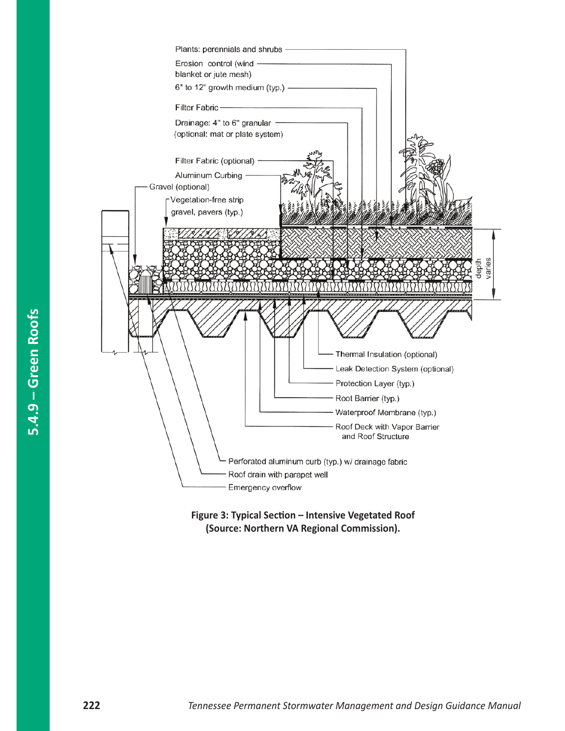

**Figure 3: Typical Section – Intensive Vegetated Roof (Source: Northern VA Regional Commission).**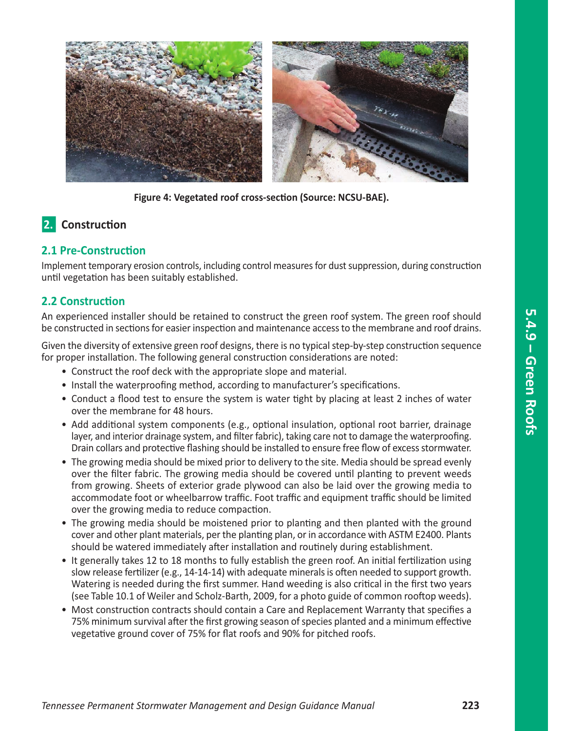

**Figure 4: Vegetated roof cross-section (Source: NCSU-BAE).**

# **2.** Construction

### **2.1 Pre-Construction**

Implement temporary erosion controls, including control measures for dust suppression, during construction until vegetation has been suitably established.

## **2.2 Construction**

An experienced installer should be retained to construct the green roof system. The green roof should be constructed in sections for easier inspection and maintenance access to the membrane and roof drains.

Given the diversity of extensive green roof designs, there is no typical step-by-step construction sequence for proper installation. The following general construction considerations are noted:

- Construct the roof deck with the appropriate slope and material.
- Install the waterproofing method, according to manufacturer's specifications.
- Conduct a flood test to ensure the system is water tight by placing at least 2 inches of water over the membrane for 48 hours.
- Add additional system components (e.g., optional insulation, optional root barrier, drainage layer, and interior drainage system, and filter fabric), taking care not to damage the waterproofing. Drain collars and protective flashing should be installed to ensure free flow of excess stormwater.
- The growing media should be mixed prior to delivery to the site. Media should be spread evenly over the filter fabric. The growing media should be covered until planting to prevent weeds from growing. Sheets of exterior grade plywood can also be laid over the growing media to accommodate foot or wheelbarrow traffic. Foot traffic and equipment traffic should be limited over the growing media to reduce compaction.
- The growing media should be moistened prior to planting and then planted with the ground cover and other plant materials, per the planting plan, or in accordance with ASTM E2400. Plants should be watered immediately after installation and routinely during establishment.
- It generally takes 12 to 18 months to fully establish the green roof. An initial fertilization using slow release fertilizer (e.g., 14-14-14) with adequate minerals is often needed to support growth. Watering is needed during the first summer. Hand weeding is also critical in the first two years (see Table 10.1 of Weiler and Scholz-Barth, 2009, for a photo guide of common rooftop weeds).
- Most construction contracts should contain a Care and Replacement Warranty that specifies a 75% minimum survival after the first growing season of species planted and a minimum effective vegetative ground cover of 75% for flat roofs and 90% for pitched roofs.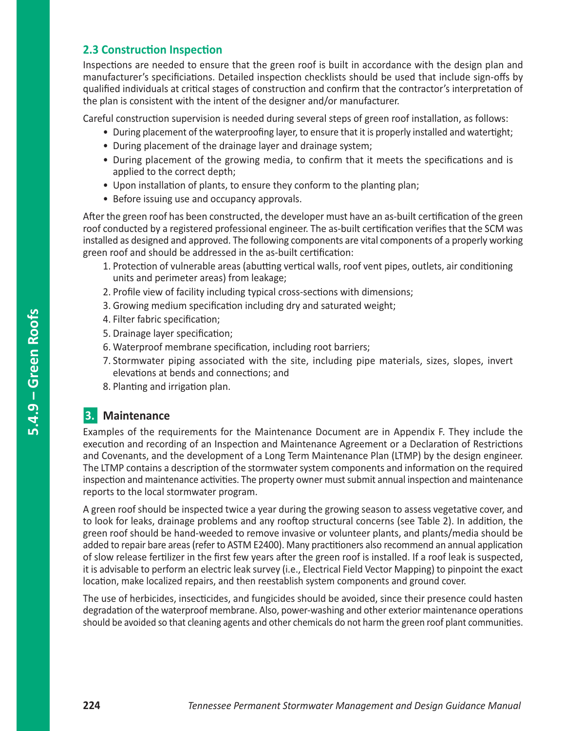### **2.3 Construction Inspection**

Inspections are needed to ensure that the green roof is built in accordance with the design plan and manufacturer's specificiations. Detailed inspection checklists should be used that include sign-offs by qualified individuals at critical stages of construction and confirm that the contractor's interpretation of the plan is consistent with the intent of the designer and/or manufacturer.

Careful construction supervision is needed during several steps of green roof installation, as follows:

- During placement of the waterproofing layer, to ensure that it is properly installed and watertight;
- During placement of the drainage layer and drainage system;
- During placement of the growing media, to confirm that it meets the specifications and is applied to the correct depth;
- Upon installation of plants, to ensure they conform to the planting plan;
- Before issuing use and occupancy approvals.

After the green roof has been constructed, the developer must have an as-built certification of the green roof conducted by a registered professional engineer. The as-built certification verifies that the SCM was installed as designed and approved. The following components are vital components of a properly working green roof and should be addressed in the as-built certification:

- 1. Protection of vulnerable areas (abutting vertical walls, roof vent pipes, outlets, air conditioning units and perimeter areas) from leakage;
- 2. Profile view of facility including typical cross-sections with dimensions;
- 3. Growing medium specification including dry and saturated weight;
- 4. Filter fabric specification;
- 5. Drainage layer specification;
- 6. Waterproof membrane specification, including root barriers;
- 7. Stormwater piping associated with the site, including pipe materials, sizes, slopes, invert elevations at bends and connections; and
- 8. Planting and irrigation plan.

# **3. Maintenance**

Examples of the requirements for the Maintenance Document are in Appendix F. They include the execution and recording of an Inspection and Maintenance Agreement or a Declaration of Restrictions and Covenants, and the development of a Long Term Maintenance Plan (LTMP) by the design engineer. The LTMP contains a description of the stormwater system components and information on the required inspection and maintenance activities. The property owner must submit annual inspection and maintenance reports to the local stormwater program.

A green roof should be inspected twice a year during the growing season to assess vegetative cover, and to look for leaks, drainage problems and any rooftop structural concerns (see Table 2). In addition, the green roof should be hand-weeded to remove invasive or volunteer plants, and plants/media should be added to repair bare areas (refer to ASTM E2400). Many practitioners also recommend an annual application of slow release fertilizer in the first few years after the green roof is installed. If a roof leak is suspected, it is advisable to perform an electric leak survey (i.e., Electrical Field Vector Mapping) to pinpoint the exact location, make localized repairs, and then reestablish system components and ground cover.

The use of herbicides, insecticides, and fungicides should be avoided, since their presence could hasten degradation of the waterproof membrane. Also, power-washing and other exterior maintenance operations should be avoided so that cleaning agents and other chemicals do not harm the green roof plant communities.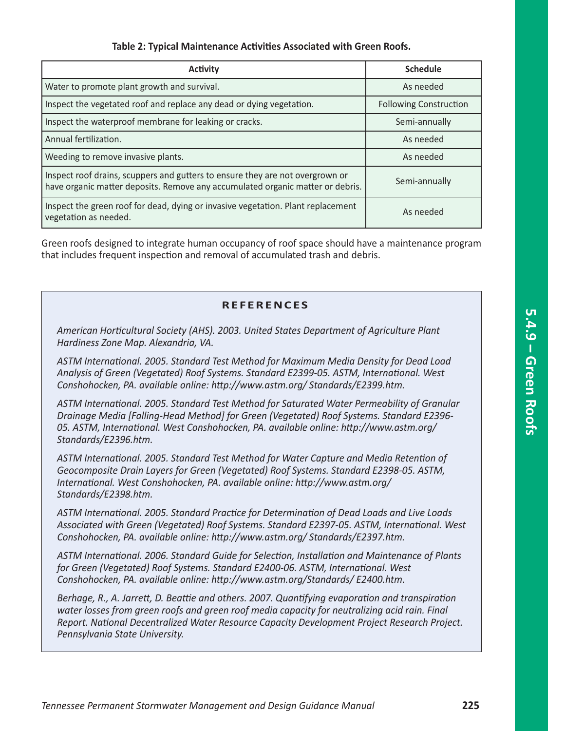### **Table 2: Typical Maintenance Activities Associated with Green Roofs.**

| <b>Activity</b>                                                                                                                                                 | <b>Schedule</b>               |
|-----------------------------------------------------------------------------------------------------------------------------------------------------------------|-------------------------------|
| Water to promote plant growth and survival.                                                                                                                     | As needed                     |
| Inspect the vegetated roof and replace any dead or dying vegetation.                                                                                            | <b>Following Construction</b> |
| Inspect the waterproof membrane for leaking or cracks.                                                                                                          | Semi-annually                 |
| Annual fertilization.                                                                                                                                           | As needed                     |
| Weeding to remove invasive plants.                                                                                                                              | As needed                     |
| Inspect roof drains, scuppers and gutters to ensure they are not overgrown or<br>have organic matter deposits. Remove any accumulated organic matter or debris. | Semi-annually                 |
| Inspect the green roof for dead, dying or invasive vegetation. Plant replacement<br>vegetation as needed.                                                       | As needed                     |

Green roofs designed to integrate human occupancy of roof space should have a maintenance program that includes frequent inspection and removal of accumulated trash and debris.

### **R E F E R E N C ES**

*American Horticultural Society (AHS). 2003. United States Department of Agriculture Plant Hardiness Zone Map. Alexandria, VA.*

*ASTM International. 2005. Standard Test Method for Maximum Media Density for Dead Load Analysis of Green (Vegetated) Roof Systems. Standard E2399-05. ASTM, International. West Conshohocken, PA. available online: http://www.astm.org/ Standards/E2399.htm.*

*ASTM International. 2005. Standard Test Method for Saturated Water Permeability of Granular Drainage Media [Falling-Head Method] for Green (Vegetated) Roof Systems. Standard E2396- 05. ASTM, International. West Conshohocken, PA. available online: http://www.astm.org/ Standards/E2396.htm.*

*ASTM International. 2005. Standard Test Method for Water Capture and Media Retention of Geocomposite Drain Layers for Green (Vegetated) Roof Systems. Standard E2398-05. ASTM, International. West Conshohocken, PA. available online: http://www.astm.org/ Standards/E2398.htm.*

*ASTM International. 2005. Standard Practice for Determination of Dead Loads and Live Loads Associated with Green (Vegetated) Roof Systems. Standard E2397-05. ASTM, International. West Conshohocken, PA. available online: http://www.astm.org/ Standards/E2397.htm.*

*ASTM International. 2006. Standard Guide for Selection, Installation and Maintenance of Plants for Green (Vegetated) Roof Systems. Standard E2400-06. ASTM, International. West Conshohocken, PA. available online: http://www.astm.org/Standards/ E2400.htm.*

*Berhage, R., A. Jarrett, D. Beattie and others. 2007. Quantifying evaporation and transpiration water losses from green roofs and green roof media capacity for neutralizing acid rain. Final Report. National Decentralized Water Resource Capacity Development Project Research Project. Pennsylvania State University.*